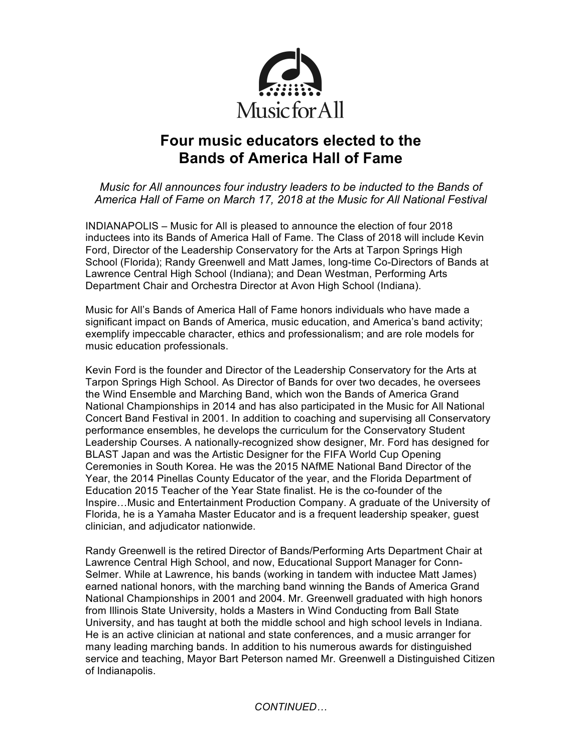

# **Four music educators elected to the Bands of America Hall of Fame**

*Music for All announces four industry leaders to be inducted to the Bands of America Hall of Fame on March 17, 2018 at the Music for All National Festival*

INDIANAPOLIS – Music for All is pleased to announce the election of four 2018 inductees into its Bands of America Hall of Fame. The Class of 2018 will include Kevin Ford, Director of the Leadership Conservatory for the Arts at Tarpon Springs High School (Florida); Randy Greenwell and Matt James, long-time Co-Directors of Bands at Lawrence Central High School (Indiana); and Dean Westman, Performing Arts Department Chair and Orchestra Director at Avon High School (Indiana).

Music for All's Bands of America Hall of Fame honors individuals who have made a significant impact on Bands of America, music education, and America's band activity; exemplify impeccable character, ethics and professionalism; and are role models for music education professionals.

Kevin Ford is the founder and Director of the Leadership Conservatory for the Arts at Tarpon Springs High School. As Director of Bands for over two decades, he oversees the Wind Ensemble and Marching Band, which won the Bands of America Grand National Championships in 2014 and has also participated in the Music for All National Concert Band Festival in 2001. In addition to coaching and supervising all Conservatory performance ensembles, he develops the curriculum for the Conservatory Student Leadership Courses. A nationally-recognized show designer, Mr. Ford has designed for BLAST Japan and was the Artistic Designer for the FIFA World Cup Opening Ceremonies in South Korea. He was the 2015 NAfME National Band Director of the Year, the 2014 Pinellas County Educator of the year, and the Florida Department of Education 2015 Teacher of the Year State finalist. He is the co-founder of the Inspire…Music and Entertainment Production Company. A graduate of the University of Florida, he is a Yamaha Master Educator and is a frequent leadership speaker, guest clinician, and adjudicator nationwide.

Randy Greenwell is the retired Director of Bands/Performing Arts Department Chair at Lawrence Central High School, and now, Educational Support Manager for Conn-Selmer. While at Lawrence, his bands (working in tandem with inductee Matt James) earned national honors, with the marching band winning the Bands of America Grand National Championships in 2001 and 2004. Mr. Greenwell graduated with high honors from Illinois State University, holds a Masters in Wind Conducting from Ball State University, and has taught at both the middle school and high school levels in Indiana. He is an active clinician at national and state conferences, and a music arranger for many leading marching bands. In addition to his numerous awards for distinguished service and teaching, Mayor Bart Peterson named Mr. Greenwell a Distinguished Citizen of Indianapolis.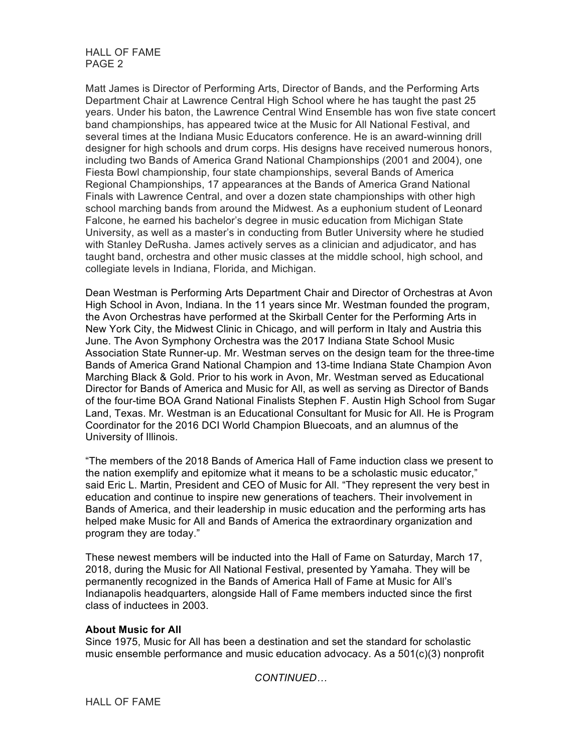#### HALL OF FAME PAGE 2

Matt James is Director of Performing Arts, Director of Bands, and the Performing Arts Department Chair at Lawrence Central High School where he has taught the past 25 years. Under his baton, the Lawrence Central Wind Ensemble has won five state concert band championships, has appeared twice at the Music for All National Festival, and several times at the Indiana Music Educators conference. He is an award-winning drill designer for high schools and drum corps. His designs have received numerous honors, including two Bands of America Grand National Championships (2001 and 2004), one Fiesta Bowl championship, four state championships, several Bands of America Regional Championships, 17 appearances at the Bands of America Grand National Finals with Lawrence Central, and over a dozen state championships with other high school marching bands from around the Midwest. As a euphonium student of Leonard Falcone, he earned his bachelor's degree in music education from Michigan State University, as well as a master's in conducting from Butler University where he studied with Stanley DeRusha. James actively serves as a clinician and adjudicator, and has taught band, orchestra and other music classes at the middle school, high school, and collegiate levels in Indiana, Florida, and Michigan.

Dean Westman is Performing Arts Department Chair and Director of Orchestras at Avon High School in Avon, Indiana. In the 11 years since Mr. Westman founded the program, the Avon Orchestras have performed at the Skirball Center for the Performing Arts in New York City, the Midwest Clinic in Chicago, and will perform in Italy and Austria this June. The Avon Symphony Orchestra was the 2017 Indiana State School Music Association State Runner-up. Mr. Westman serves on the design team for the three-time Bands of America Grand National Champion and 13-time Indiana State Champion Avon Marching Black & Gold. Prior to his work in Avon, Mr. Westman served as Educational Director for Bands of America and Music for All, as well as serving as Director of Bands of the four-time BOA Grand National Finalists Stephen F. Austin High School from Sugar Land, Texas. Mr. Westman is an Educational Consultant for Music for All. He is Program Coordinator for the 2016 DCI World Champion Bluecoats, and an alumnus of the University of Illinois.

"The members of the 2018 Bands of America Hall of Fame induction class we present to the nation exemplify and epitomize what it means to be a scholastic music educator," said Eric L. Martin, President and CEO of Music for All. "They represent the very best in education and continue to inspire new generations of teachers. Their involvement in Bands of America, and their leadership in music education and the performing arts has helped make Music for All and Bands of America the extraordinary organization and program they are today."

These newest members will be inducted into the Hall of Fame on Saturday, March 17, 2018, during the Music for All National Festival, presented by Yamaha. They will be permanently recognized in the Bands of America Hall of Fame at Music for All's Indianapolis headquarters, alongside Hall of Fame members inducted since the first class of inductees in 2003.

#### **About Music for All**

Since 1975, Music for All has been a destination and set the standard for scholastic music ensemble performance and music education advocacy. As a 501(c)(3) nonprofit